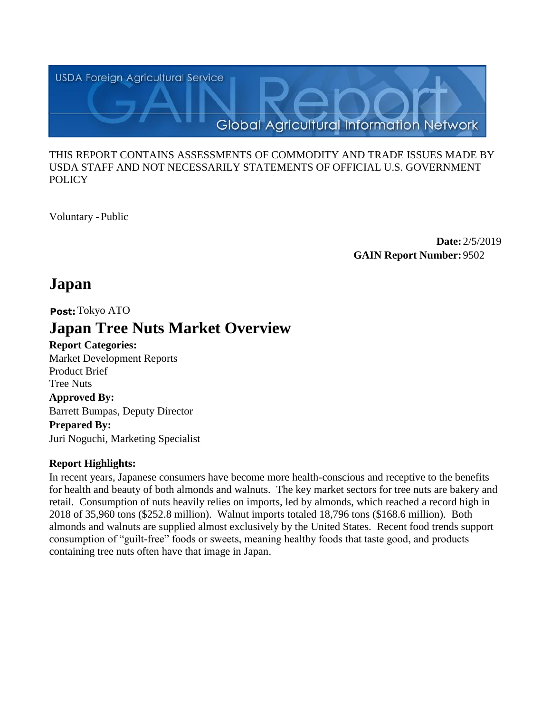

#### THIS REPORT CONTAINS ASSESSMENTS OF COMMODITY AND TRADE ISSUES MADE BY USDA STAFF AND NOT NECESSARILY STATEMENTS OF OFFICIAL U.S. GOVERNMENT **POLICY**

Voluntary -Public

**Date:** 2/5/2019 **GAIN Report Number:** 9502

## **Japan**

**Post:**Tokyo ATO

# **Japan Tree Nuts Market Overview**

**Report Categories:**

Market Development Reports Product Brief Tree Nuts **Approved By:**  Barrett Bumpas, Deputy Director

**Prepared By:**  Juri Noguchi, Marketing Specialist

#### **Report Highlights:**

In recent years, Japanese consumers have become more health-conscious and receptive to the benefits for health and beauty of both almonds and walnuts. The key market sectors for tree nuts are bakery and retail. Consumption of nuts heavily relies on imports, led by almonds, which reached a record high in 2018 of 35,960 tons (\$252.8 million). Walnut imports totaled 18,796 tons (\$168.6 million). Both almonds and walnuts are supplied almost exclusively by the United States. Recent food trends support consumption of "guilt-free" foods or sweets, meaning healthy foods that taste good, and products containing tree nuts often have that image in Japan.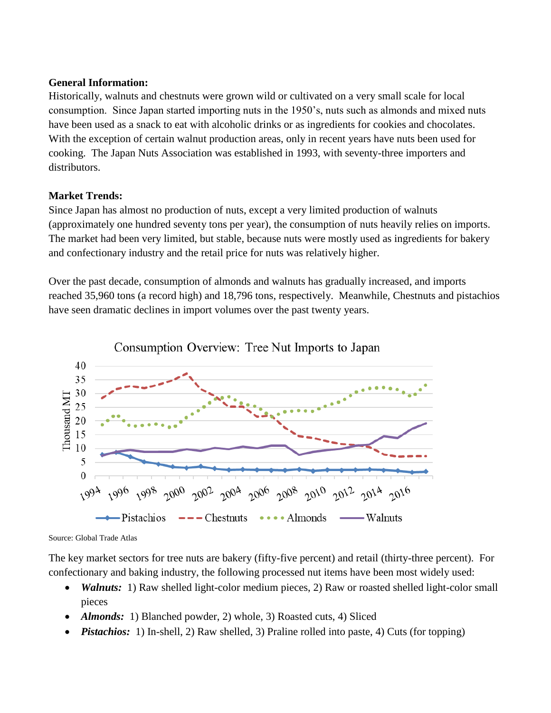#### **General Information:**

Historically, walnuts and chestnuts were grown wild or cultivated on a very small scale for local consumption. Since Japan started importing nuts in the 1950's, nuts such as almonds and mixed nuts have been used as a snack to eat with alcoholic drinks or as ingredients for cookies and chocolates. With the exception of certain walnut production areas, only in recent years have nuts been used for cooking. The Japan Nuts Association was established in 1993, with seventy-three importers and distributors.

#### **Market Trends:**

Since Japan has almost no production of nuts, except a very limited production of walnuts (approximately one hundred seventy tons per year), the consumption of nuts heavily relies on imports. The market had been very limited, but stable, because nuts were mostly used as ingredients for bakery and confectionary industry and the retail price for nuts was relatively higher.

Over the past decade, consumption of almonds and walnuts has gradually increased, and imports reached 35,960 tons (a record high) and 18,796 tons, respectively. Meanwhile, Chestnuts and pistachios have seen dramatic declines in import volumes over the past twenty years.



Consumption Overview: Tree Nut Imports to Japan

Source: Global Trade Atlas

The key market sectors for tree nuts are bakery (fifty-five percent) and retail (thirty-three percent). For confectionary and baking industry, the following processed nut items have been most widely used:

- *Walnuts:* 1) Raw shelled light-color medium pieces, 2) Raw or roasted shelled light-color small pieces
- *Almonds*: 1) Blanched powder, 2) whole, 3) Roasted cuts, 4) Sliced
- *Pistachios:* 1) In-shell, 2) Raw shelled, 3) Praline rolled into paste, 4) Cuts (for topping)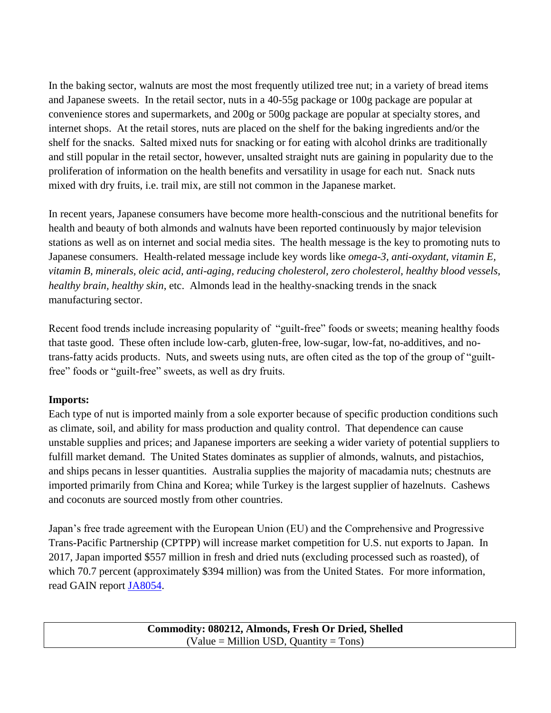In the baking sector, walnuts are most the most frequently utilized tree nut; in a variety of bread items and Japanese sweets. In the retail sector, nuts in a 40-55g package or 100g package are popular at convenience stores and supermarkets, and 200g or 500g package are popular at specialty stores, and internet shops. At the retail stores, nuts are placed on the shelf for the baking ingredients and/or the shelf for the snacks. Salted mixed nuts for snacking or for eating with alcohol drinks are traditionally and still popular in the retail sector, however, unsalted straight nuts are gaining in popularity due to the proliferation of information on the health benefits and versatility in usage for each nut. Snack nuts mixed with dry fruits, i.e. trail mix, are still not common in the Japanese market.

In recent years, Japanese consumers have become more health-conscious and the nutritional benefits for health and beauty of both almonds and walnuts have been reported continuously by major television stations as well as on internet and social media sites. The health message is the key to promoting nuts to Japanese consumers. Health-related message include key words like *omega-3, anti-oxydant, vitamin E, vitamin B, minerals, oleic acid, anti-aging, reducing cholesterol, zero cholesterol, healthy blood vessels, healthy brain, healthy skin*, etc. Almonds lead in the healthy-snacking trends in the snack manufacturing sector.

Recent food trends include increasing popularity of "guilt-free" foods or sweets; meaning healthy foods that taste good. These often include low-carb, gluten-free, low-sugar, low-fat, no-additives, and notrans-fatty acids products. Nuts, and sweets using nuts, are often cited as the top of the group of "guiltfree" foods or "guilt-free" sweets, as well as dry fruits.

#### **Imports:**

Each type of nut is imported mainly from a sole exporter because of specific production conditions such as climate, soil, and ability for mass production and quality control. That dependence can cause unstable supplies and prices; and Japanese importers are seeking a wider variety of potential suppliers to fulfill market demand. The United States dominates as supplier of almonds, walnuts, and pistachios, and ships pecans in lesser quantities. Australia supplies the majority of macadamia nuts; chestnuts are imported primarily from China and Korea; while Turkey is the largest supplier of hazelnuts. Cashews and coconuts are sourced mostly from other countries.

Japan's free trade agreement with the European Union (EU) and the Comprehensive and Progressive Trans-Pacific Partnership (CPTPP) will increase market competition for U.S. nut exports to Japan. In 2017, Japan imported \$557 million in fresh and dried nuts (excluding processed such as roasted), of which 70.7 percent (approximately \$394 million) was from the United States. For more information, read GAIN report [JA8054.](https://gain.fas.usda.gov/Recent%20GAIN%20Publications/U.S.%20Nuts%20Less%20Competitive%20Under%20New%20Japan%20Free%20Trade%20Agreements_Tokyo_Japan_8-20-2018.pdf)

> **Commodity: 080212, Almonds, Fresh Or Dried, Shelled**   $(Value = Million USD, Quantity = Tons)$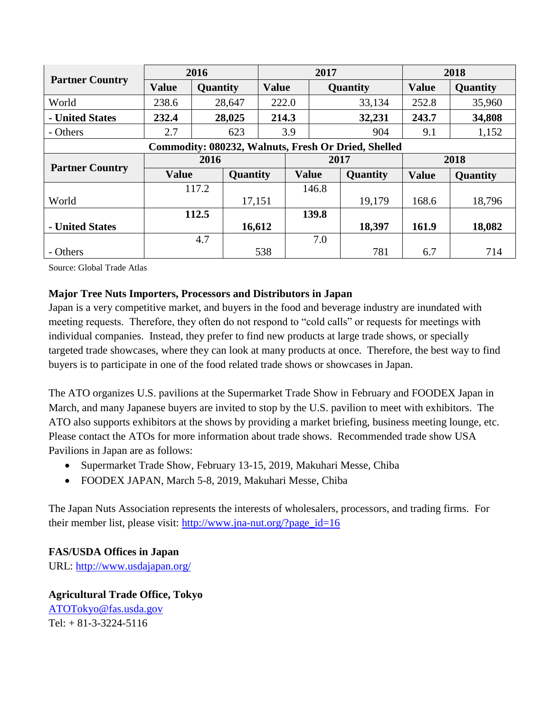| <b>Partner Country</b>                                     | 2016         |          |          | 2017         |              |          |          | 2018         |                 |
|------------------------------------------------------------|--------------|----------|----------|--------------|--------------|----------|----------|--------------|-----------------|
|                                                            | <b>Value</b> | Quantity |          | <b>Value</b> |              | Quantity |          | <b>Value</b> | <b>Quantity</b> |
| World                                                      | 238.6        | 28,647   |          | 222.0        |              |          | 33,134   | 252.8        | 35,960          |
| - United States                                            | 232.4        | 28,025   |          | 214.3        |              |          | 32,231   | 243.7        | 34,808          |
| - Others                                                   | 2.7          |          | 623      |              | 3.9          |          | 904      | 9.1          | 1,152           |
| <b>Commodity: 080232, Walnuts, Fresh Or Dried, Shelled</b> |              |          |          |              |              |          |          |              |                 |
| <b>Partner Country</b>                                     | 2016         |          |          | 2017         |              |          |          | 2018         |                 |
|                                                            | <b>Value</b> |          | Quantity |              | <b>Value</b> |          | Quantity | <b>Value</b> | <b>Quantity</b> |
|                                                            | 117.2        |          |          |              | 146.8        |          |          |              |                 |
| World                                                      |              |          |          | 17,151       |              |          | 19,179   | 168.6        | 18,796          |
|                                                            |              | 112.5    |          |              |              | 139.8    |          |              |                 |
| - United States                                            |              |          | 16,612   |              |              |          | 18,397   | 161.9        | 18,082          |
|                                                            |              | 4.7      |          |              |              | 7.0      |          |              |                 |
| - Others                                                   |              |          |          | 538          |              |          | 781      | 6.7          | 714             |

Source: Global Trade Atlas

#### **Major Tree Nuts Importers, Processors and Distributors in Japan**

Japan is a very competitive market, and buyers in the food and beverage industry are inundated with meeting requests. Therefore, they often do not respond to "cold calls" or requests for meetings with individual companies. Instead, they prefer to find new products at large trade shows, or specially targeted trade showcases, where they can look at many products at once. Therefore, the best way to find buyers is to participate in one of the food related trade shows or showcases in Japan.

The ATO organizes U.S. pavilions at the Supermarket Trade Show in February and FOODEX Japan in March, and many Japanese buyers are invited to stop by the U.S. pavilion to meet with exhibitors. The ATO also supports exhibitors at the shows by providing a market briefing, business meeting lounge, etc. Please contact the ATOs for more information about trade shows. Recommended trade show USA Pavilions in Japan are as follows:

- Supermarket Trade Show, February 13-15, 2019, Makuhari Messe, Chiba
- FOODEX JAPAN, March 5-8, 2019, Makuhari Messe, Chiba

The Japan Nuts Association represents the interests of wholesalers, processors, and trading firms. For their member list, please visit: [http://www.jna-nut.org/?page\\_id=16](http://www.jna-nut.org/?page_id=16)

**FAS/USDA Offices in Japan** URL:<http://www.usdajapan.org/>

**Agricultural Trade Office, Tokyo**  [ATOTokyo@fas.usda.gov](mailto:ATOTokyo@fas.usda.gov)  $Tel: + 81-3-3224-5116$